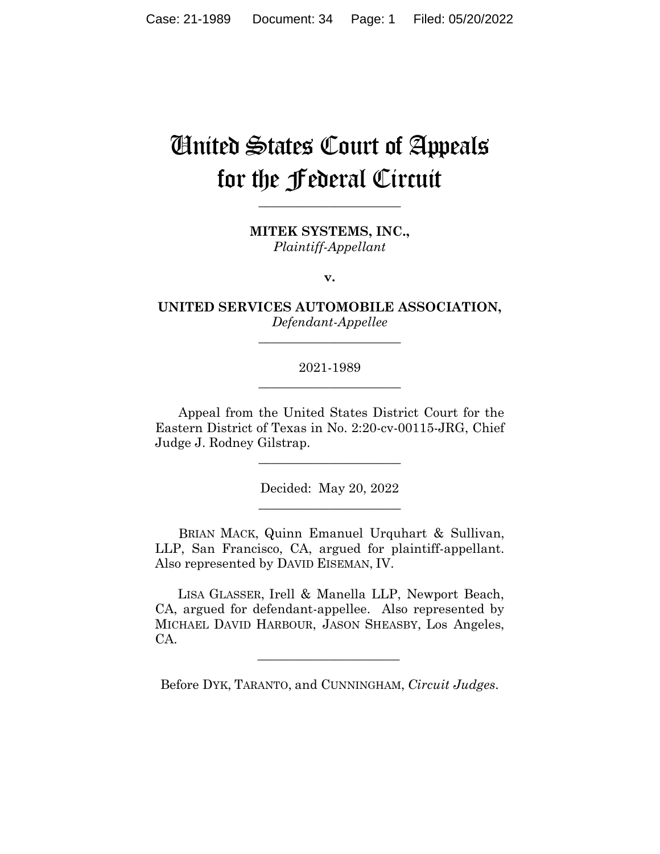# United States Court of Appeals for the Federal Circuit

**\_\_\_\_\_\_\_\_\_\_\_\_\_\_\_\_\_\_\_\_\_\_** 

**MITEK SYSTEMS, INC.,** *Plaintiff-Appellant*

**v.**

**UNITED SERVICES AUTOMOBILE ASSOCIATION,** *Defendant-Appellee*

**\_\_\_\_\_\_\_\_\_\_\_\_\_\_\_\_\_\_\_\_\_\_** 

# 2021-1989 **\_\_\_\_\_\_\_\_\_\_\_\_\_\_\_\_\_\_\_\_\_\_**

Appeal from the United States District Court for the Eastern District of Texas in No. 2:20-cv-00115-JRG, Chief Judge J. Rodney Gilstrap.

 $\overline{\phantom{a}}$  , where  $\overline{\phantom{a}}$  , where  $\overline{\phantom{a}}$  , where  $\overline{\phantom{a}}$ 

Decided: May 20, 2022  $\overline{\phantom{a}}$  , where  $\overline{\phantom{a}}$  , where  $\overline{\phantom{a}}$  , where  $\overline{\phantom{a}}$ 

BRIAN MACK, Quinn Emanuel Urquhart & Sullivan, LLP, San Francisco, CA, argued for plaintiff-appellant. Also represented by DAVID EISEMAN, IV.

 LISA GLASSER, Irell & Manella LLP, Newport Beach, CA, argued for defendant-appellee. Also represented by MICHAEL DAVID HARBOUR, JASON SHEASBY, Los Angeles, CA.

Before DYK, TARANTO, and CUNNINGHAM, *Circuit Judges*.

 $\mathcal{L}_\text{max}$  and  $\mathcal{L}_\text{max}$  and  $\mathcal{L}_\text{max}$  and  $\mathcal{L}_\text{max}$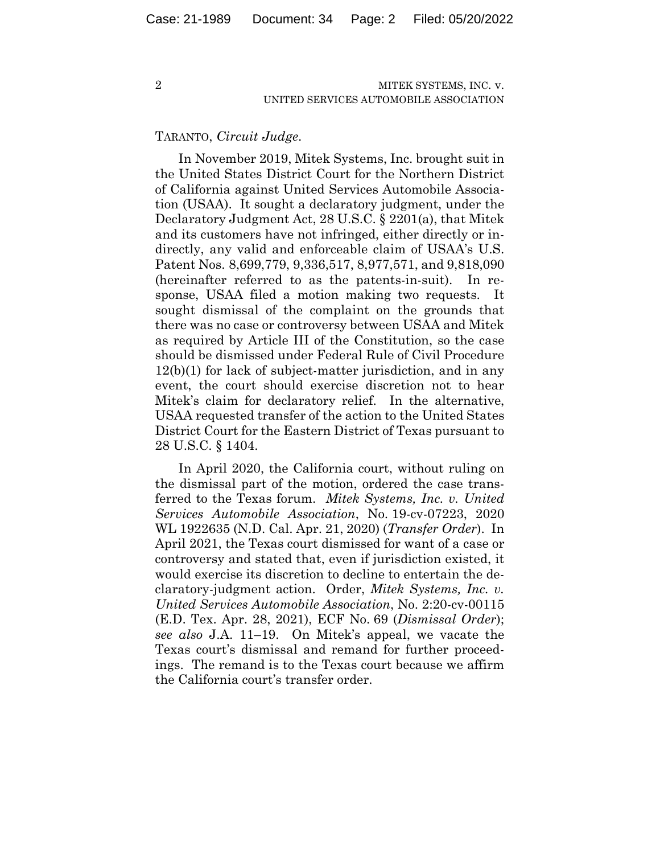#### TARANTO, *Circuit Judge*.

In November 2019, Mitek Systems, Inc. brought suit in the United States District Court for the Northern District of California against United Services Automobile Association (USAA). It sought a declaratory judgment, under the Declaratory Judgment Act, 28 U.S.C. § 2201(a), that Mitek and its customers have not infringed, either directly or indirectly, any valid and enforceable claim of USAA's U.S. Patent Nos. 8,699,779, 9,336,517, 8,977,571, and 9,818,090 (hereinafter referred to as the patents-in-suit). In response, USAA filed a motion making two requests. It sought dismissal of the complaint on the grounds that there was no case or controversy between USAA and Mitek as required by Article III of the Constitution, so the case should be dismissed under Federal Rule of Civil Procedure 12(b)(1) for lack of subject-matter jurisdiction, and in any event, the court should exercise discretion not to hear Mitek's claim for declaratory relief. In the alternative, USAA requested transfer of the action to the United States District Court for the Eastern District of Texas pursuant to 28 U.S.C. § 1404.

In April 2020, the California court, without ruling on the dismissal part of the motion, ordered the case transferred to the Texas forum. *Mitek Systems, Inc. v. United Services Automobile Association*, No. 19-cv-07223, 2020 WL 1922635 (N.D. Cal. Apr. 21, 2020) (*Transfer Order*). In April 2021, the Texas court dismissed for want of a case or controversy and stated that, even if jurisdiction existed, it would exercise its discretion to decline to entertain the declaratory-judgment action. Order, *Mitek Systems, Inc. v. United Services Automobile Association*, No. 2:20-cv-00115 (E.D. Tex. Apr. 28, 2021), ECF No. 69 (*Dismissal Order*); *see also* J.A. 11–19. On Mitek's appeal, we vacate the Texas court's dismissal and remand for further proceedings. The remand is to the Texas court because we affirm the California court's transfer order.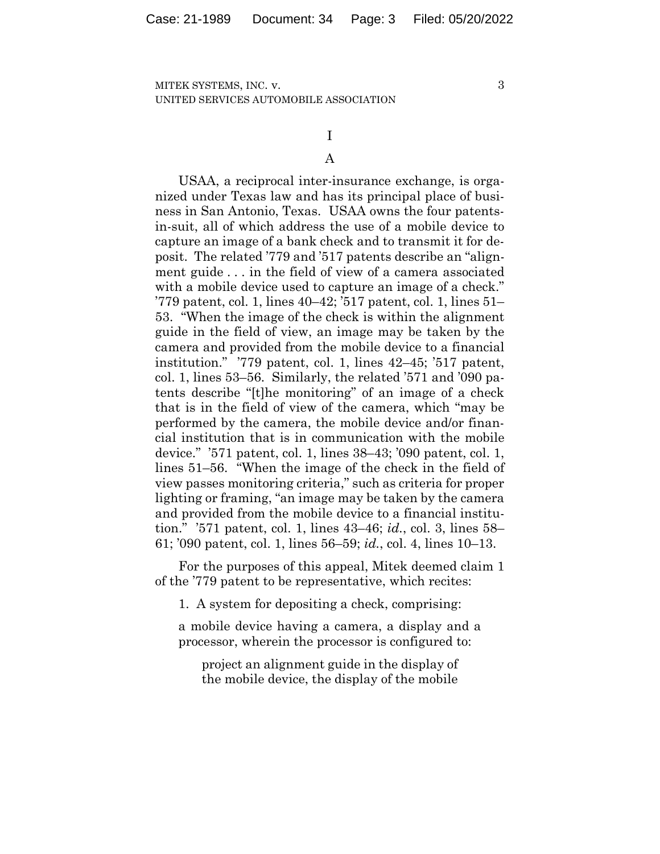3

# I A

USAA, a reciprocal inter-insurance exchange, is organized under Texas law and has its principal place of business in San Antonio, Texas. USAA owns the four patentsin-suit, all of which address the use of a mobile device to capture an image of a bank check and to transmit it for deposit. The related '779 and '517 patents describe an "alignment guide . . . in the field of view of a camera associated with a mobile device used to capture an image of a check." '779 patent, col. 1, lines 40–42; '517 patent, col. 1, lines 51– 53. "When the image of the check is within the alignment guide in the field of view, an image may be taken by the camera and provided from the mobile device to a financial institution." '779 patent, col. 1, lines 42–45; '517 patent, col. 1, lines 53–56. Similarly, the related '571 and '090 patents describe "[t]he monitoring" of an image of a check that is in the field of view of the camera, which "may be performed by the camera, the mobile device and/or financial institution that is in communication with the mobile device." '571 patent, col. 1, lines 38–43; '090 patent, col. 1, lines 51–56. "When the image of the check in the field of view passes monitoring criteria," such as criteria for proper lighting or framing, "an image may be taken by the camera and provided from the mobile device to a financial institution." '571 patent, col. 1, lines 43–46; *id.*, col. 3, lines 58– 61; '090 patent, col. 1, lines 56–59; *id.*, col. 4, lines 10–13.

For the purposes of this appeal, Mitek deemed claim 1 of the '779 patent to be representative, which recites:

1. A system for depositing a check, comprising:

a mobile device having a camera, a display and a processor, wherein the processor is configured to:

project an alignment guide in the display of the mobile device, the display of the mobile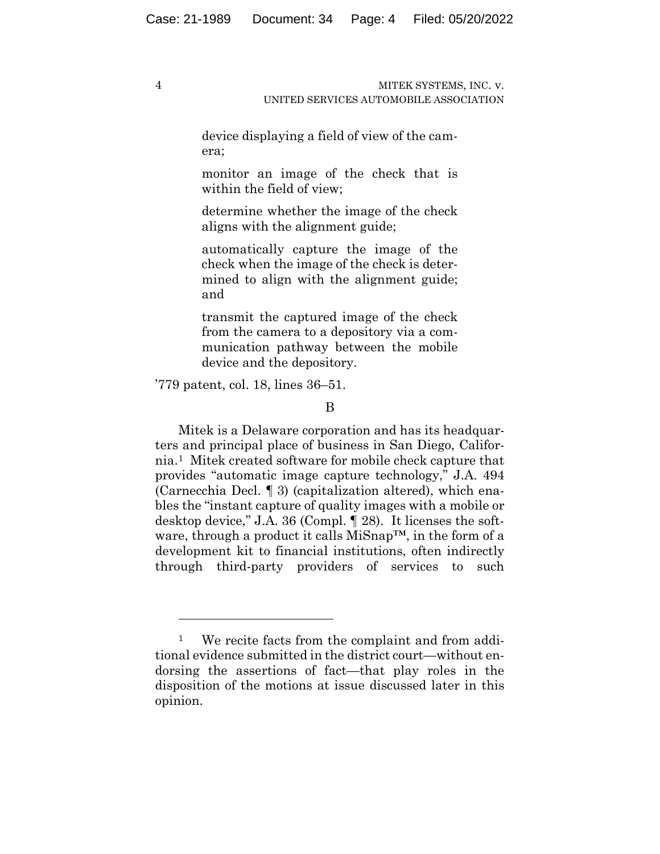device displaying a field of view of the camera;

monitor an image of the check that is within the field of view;

determine whether the image of the check aligns with the alignment guide;

automatically capture the image of the check when the image of the check is determined to align with the alignment guide; and

transmit the captured image of the check from the camera to a depository via a communication pathway between the mobile device and the depository.

'779 patent, col. 18, lines 36–51.

Mitek is a Delaware corporation and has its headquarters and principal place of business in San Diego, California.1Mitek created software for mobile check capture that provides "automatic image capture technology," J.A. 494 (Carnecchia Decl. ¶ 3) (capitalization altered), which enables the "instant capture of quality images with a mobile or desktop device," J.A. 36 (Compl. ¶ 28).It licenses the software, through a product it calls MiSnap™, in the form of a development kit to financial institutions, often indirectly through third-party providers of services to such

B

<sup>&</sup>lt;sup>1</sup> We recite facts from the complaint and from additional evidence submitted in the district court—without endorsing the assertions of fact—that play roles in the disposition of the motions at issue discussed later in this opinion.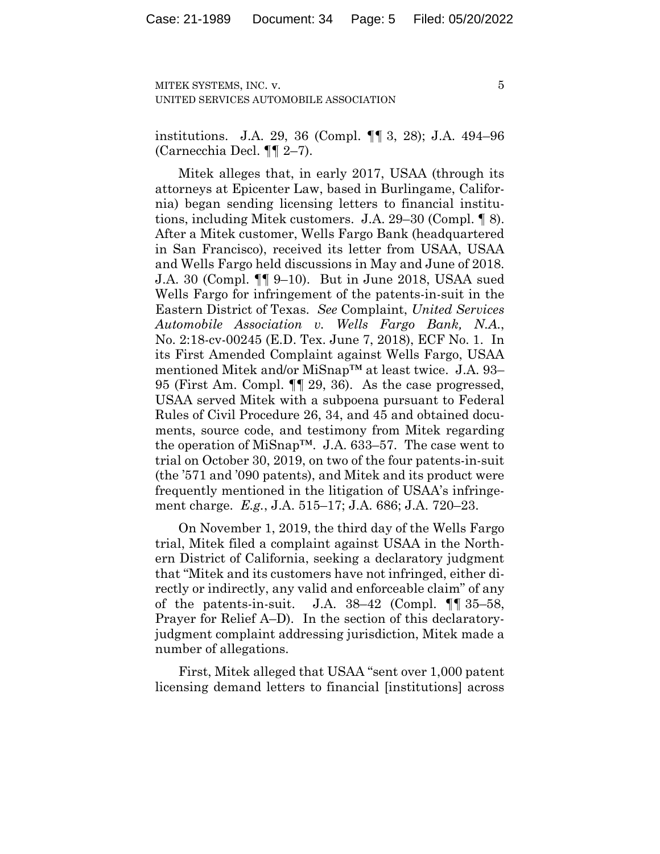5

institutions. J.A. 29, 36 (Compl. ¶¶ 3, 28); J.A. 494–96 (Carnecchia Decl. ¶¶ 2–7).

Mitek alleges that, in early 2017, USAA (through its attorneys at Epicenter Law, based in Burlingame, California) began sending licensing letters to financial institutions, including Mitek customers. J.A. 29–30 (Compl. ¶ 8). After a Mitek customer, Wells Fargo Bank (headquartered in San Francisco), received its letter from USAA, USAA and Wells Fargo held discussions in May and June of 2018. J.A. 30 (Compl. ¶¶ 9–10). But in June 2018, USAA sued Wells Fargo for infringement of the patents-in-suit in the Eastern District of Texas. *See* Complaint, *United Services Automobile Association v. Wells Fargo Bank, N.A.*, No. 2:18-cv-00245 (E.D. Tex. June 7, 2018), ECF No. 1.In its First Amended Complaint against Wells Fargo, USAA mentioned Mitek and/or MiSnap™ at least twice. J.A. 93– 95 (First Am. Compl. ¶¶ 29, 36). As the case progressed, USAA served Mitek with a subpoena pursuant to Federal Rules of Civil Procedure 26, 34, and 45 and obtained documents, source code, and testimony from Mitek regarding the operation of MiSnap™. J.A. 633–57.The case went to trial on October 30, 2019, on two of the four patents-in-suit (the '571 and '090 patents), and Mitek and its product were frequently mentioned in the litigation of USAA's infringement charge. *E.g.*, J.A. 515–17; J.A. 686; J.A. 720–23.

On November 1, 2019, the third day of the Wells Fargo trial, Mitek filed a complaint against USAA in the Northern District of California, seeking a declaratory judgment that "Mitek and its customers have not infringed, either directly or indirectly, any valid and enforceable claim" of any of the patents-in-suit. J.A.  $38-42$  (Compl.  $\P\P$  35–58, Prayer for Relief A–D).In the section of this declaratoryjudgment complaint addressing jurisdiction, Mitek made a number of allegations.

First, Mitek alleged that USAA "sent over 1,000 patent licensing demand letters to financial [institutions] across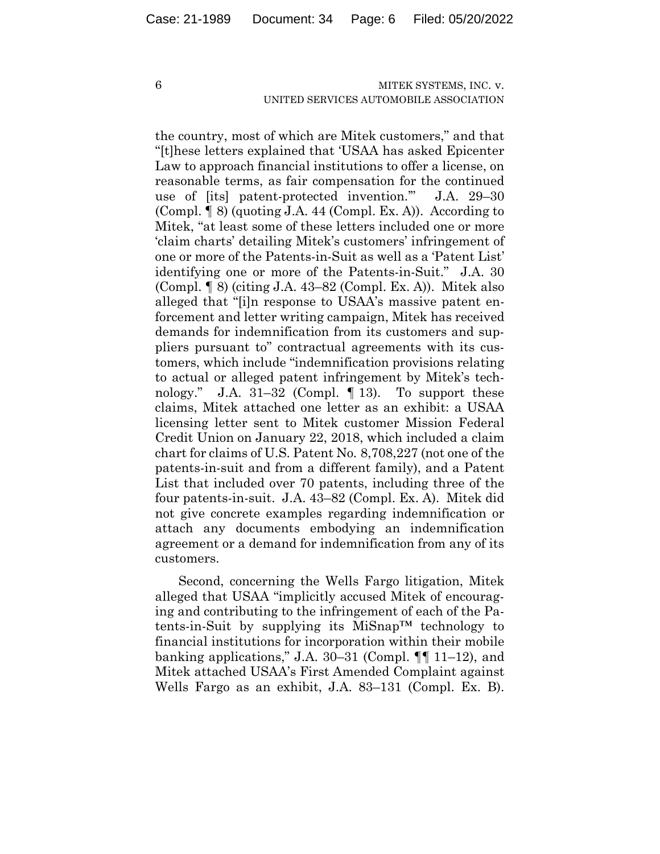the country, most of which are Mitek customers," and that "[t]hese letters explained that 'USAA has asked Epicenter Law to approach financial institutions to offer a license, on reasonable terms, as fair compensation for the continued use of [its] patent-protected invention.'" J.A. 29–30 (Compl. ¶ 8) (quoting J.A. 44 (Compl. Ex. A)). According to Mitek, "at least some of these letters included one or more 'claim charts' detailing Mitek's customers' infringement of one or more of the Patents-in-Suit as well as a 'Patent List' identifying one or more of the Patents-in-Suit." J.A. 30 (Compl. ¶ 8) (citing J.A. 43–82 (Compl. Ex. A)). Mitek also alleged that "[i]n response to USAA's massive patent enforcement and letter writing campaign, Mitek has received demands for indemnification from its customers and suppliers pursuant to" contractual agreements with its customers, which include "indemnification provisions relating to actual or alleged patent infringement by Mitek's technology." J.A. 31–32 (Compl. ¶ 13). To support these claims, Mitek attached one letter as an exhibit: a USAA licensing letter sent to Mitek customer Mission Federal Credit Union on January 22, 2018, which included a claim chart for claims of U.S. Patent No. 8,708,227 (not one of the patents-in-suit and from a different family), and a Patent List that included over 70 patents, including three of the four patents-in-suit. J.A. 43–82 (Compl. Ex. A). Mitek did not give concrete examples regarding indemnification or attach any documents embodying an indemnification agreement or a demand for indemnification from any of its customers.

Second, concerning the Wells Fargo litigation, Mitek alleged that USAA "implicitly accused Mitek of encouraging and contributing to the infringement of each of the Patents-in-Suit by supplying its MiSnap<sup>TM</sup> technology to financial institutions for incorporation within their mobile banking applications," J.A. 30–31 (Compl.  $\P\P$  11–12), and Mitek attached USAA's First Amended Complaint against Wells Fargo as an exhibit, J.A. 83–131 (Compl. Ex. B).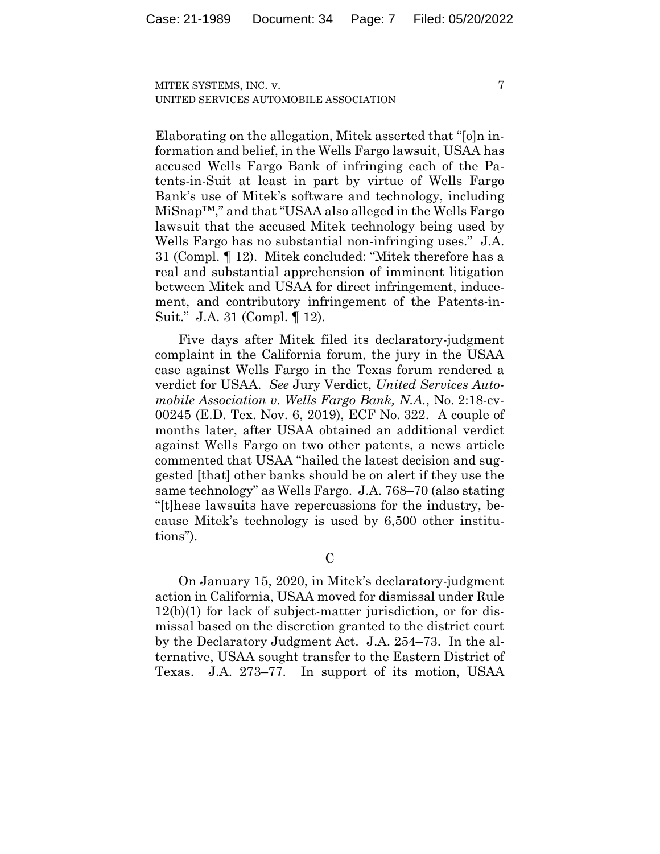7

Elaborating on the allegation, Mitek asserted that "[o]n information and belief, in the Wells Fargo lawsuit, USAA has accused Wells Fargo Bank of infringing each of the Patents-in-Suit at least in part by virtue of Wells Fargo Bank's use of Mitek's software and technology, including MiSnap™," and that "USAA also alleged in the Wells Fargo lawsuit that the accused Mitek technology being used by Wells Fargo has no substantial non-infringing uses." J.A. 31 (Compl. ¶ 12). Mitek concluded: "Mitek therefore has a real and substantial apprehension of imminent litigation between Mitek and USAA for direct infringement, inducement, and contributory infringement of the Patents-in-Suit." J.A. 31 (Compl. ¶ 12).

Five days after Mitek filed its declaratory-judgment complaint in the California forum, the jury in the USAA case against Wells Fargo in the Texas forum rendered a verdict for USAA. *See* Jury Verdict, *United Services Automobile Association v. Wells Fargo Bank, N.A.*, No. 2:18-cv-00245 (E.D. Tex. Nov. 6, 2019), ECF No. 322. A couple of months later, after USAA obtained an additional verdict against Wells Fargo on two other patents, a news article commented that USAA "hailed the latest decision and suggested [that] other banks should be on alert if they use the same technology" as Wells Fargo. J.A. 768–70 (also stating "[t]hese lawsuits have repercussions for the industry, because Mitek's technology is used by 6,500 other institutions").

 $\overline{C}$ 

On January 15, 2020, in Mitek's declaratory-judgment action in California, USAA moved for dismissal under Rule 12(b)(1) for lack of subject-matter jurisdiction, or for dismissal based on the discretion granted to the district court by the Declaratory Judgment Act. J.A. 254–73. In the alternative, USAA sought transfer to the Eastern District of Texas. J.A. 273–77.In support of its motion, USAA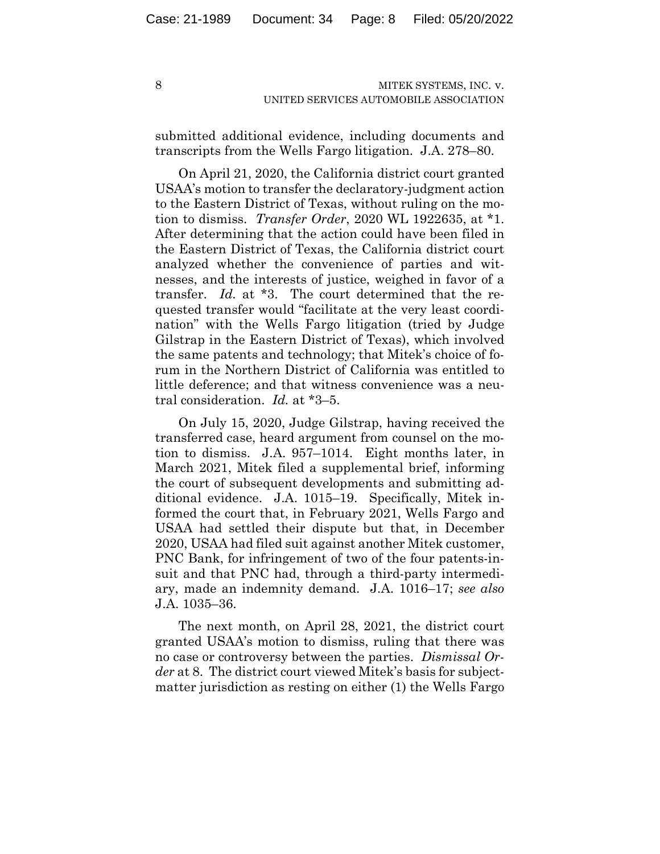submitted additional evidence, including documents and transcripts from the Wells Fargo litigation. J.A. 278–80.

On April 21, 2020, the California district court granted USAA's motion to transfer the declaratory-judgment action to the Eastern District of Texas, without ruling on the motion to dismiss. *Transfer Order*, 2020 WL 1922635, at \*1. After determining that the action could have been filed in the Eastern District of Texas, the California district court analyzed whether the convenience of parties and witnesses, and the interests of justice, weighed in favor of a transfer. *Id.* at \*3. The court determined that the requested transfer would "facilitate at the very least coordination" with the Wells Fargo litigation (tried by Judge Gilstrap in the Eastern District of Texas), which involved the same patents and technology; that Mitek's choice of forum in the Northern District of California was entitled to little deference; and that witness convenience was a neutral consideration. *Id.* at \*3–5.

On July 15, 2020, Judge Gilstrap, having received the transferred case, heard argument from counsel on the motion to dismiss. J.A. 957–1014.Eight months later, in March 2021, Mitek filed a supplemental brief, informing the court of subsequent developments and submitting additional evidence. J.A. 1015–19. Specifically, Mitek informed the court that, in February 2021, Wells Fargo and USAA had settled their dispute but that, in December 2020, USAA had filed suit against another Mitek customer, PNC Bank, for infringement of two of the four patents-insuit and that PNC had, through a third-party intermediary, made an indemnity demand. J.A. 1016–17; *see also*  J.A. 1035–36.

The next month, on April 28, 2021, the district court granted USAA's motion to dismiss, ruling that there was no case or controversy between the parties. *Dismissal Order* at 8. The district court viewed Mitek's basis for subjectmatter jurisdiction as resting on either (1) the Wells Fargo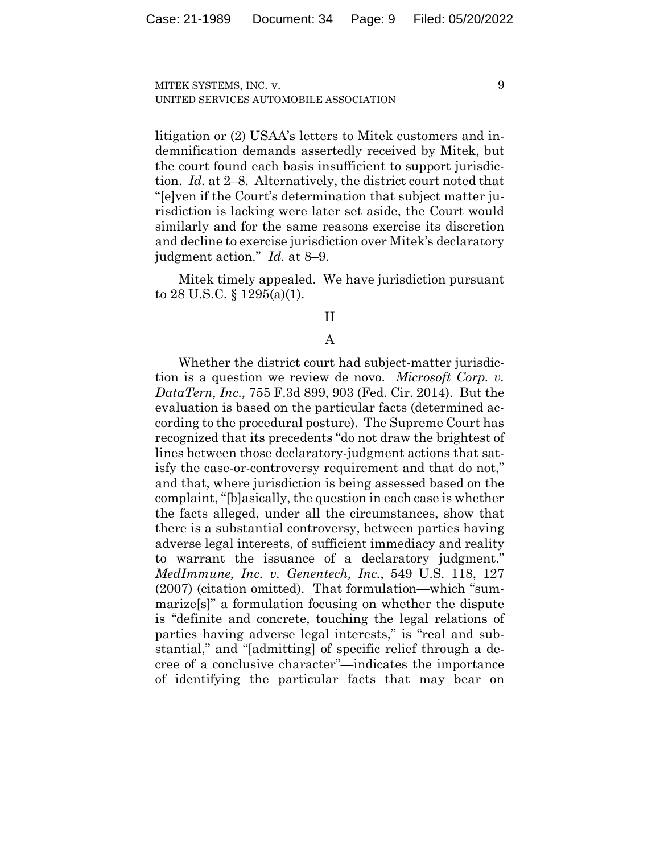9

litigation or (2) USAA's letters to Mitek customers and indemnification demands assertedly received by Mitek, but the court found each basis insufficient to support jurisdiction.*Id.* at 2–8. Alternatively, the district court noted that "[e]ven if the Court's determination that subject matter jurisdiction is lacking were later set aside, the Court would similarly and for the same reasons exercise its discretion and decline to exercise jurisdiction over Mitek's declaratory judgment action." *Id.* at 8–9.

Mitek timely appealed. We have jurisdiction pursuant to 28 U.S.C.  $\S$  1295(a)(1).

#### II

## A

Whether the district court had subject-matter jurisdiction is a question we review de novo. *Microsoft Corp. v. DataTern, Inc.,* 755 F.3d 899, 903 (Fed. Cir. 2014). But the evaluation is based on the particular facts (determined according to the procedural posture). The Supreme Court has recognized that its precedents "do not draw the brightest of lines between those declaratory-judgment actions that satisfy the case-or-controversy requirement and that do not," and that, where jurisdiction is being assessed based on the complaint, "[b]asically, the question in each case is whether the facts alleged, under all the circumstances, show that there is a substantial controversy, between parties having adverse legal interests, of sufficient immediacy and reality to warrant the issuance of a declaratory judgment." *MedImmune, Inc. v. Genentech, Inc.*, 549 U.S. 118, 127 (2007) (citation omitted). That formulation—which "summarize[s]" a formulation focusing on whether the dispute is "definite and concrete, touching the legal relations of parties having adverse legal interests," is "real and substantial," and "[admitting] of specific relief through a decree of a conclusive character"—indicates the importance of identifying the particular facts that may bear on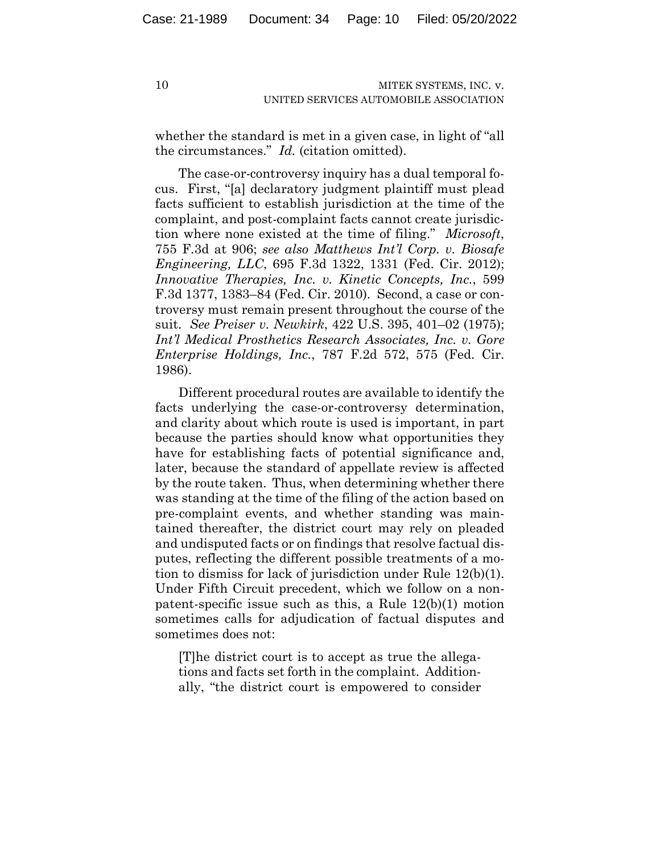whether the standard is met in a given case, in light of "all the circumstances." *Id.* (citation omitted).

The case-or-controversy inquiry has a dual temporal focus. First, "[a] declaratory judgment plaintiff must plead facts sufficient to establish jurisdiction at the time of the complaint, and post-complaint facts cannot create jurisdiction where none existed at the time of filing." *Microsoft*, 755 F.3d at 906; *see also Matthews Int'l Corp. v. Biosafe Engineering, LLC*, 695 F.3d 1322, 1331 (Fed. Cir. 2012); *Innovative Therapies, Inc. v. Kinetic Concepts, Inc.*, 599 F.3d 1377, 1383–84 (Fed. Cir. 2010). Second, a case or controversy must remain present throughout the course of the suit. *See Preiser v. Newkirk*, 422 U.S. 395, 401–02 (1975); *Int'l Medical Prosthetics Research Associates, Inc. v. Gore Enterprise Holdings, Inc.*, 787 F.2d 572, 575 (Fed. Cir. 1986).

Different procedural routes are available to identify the facts underlying the case-or-controversy determination, and clarity about which route is used is important, in part because the parties should know what opportunities they have for establishing facts of potential significance and, later, because the standard of appellate review is affected by the route taken. Thus, when determining whether there was standing at the time of the filing of the action based on pre-complaint events, and whether standing was maintained thereafter, the district court may rely on pleaded and undisputed facts or on findings that resolve factual disputes, reflecting the different possible treatments of a motion to dismiss for lack of jurisdiction under Rule 12(b)(1). Under Fifth Circuit precedent, which we follow on a nonpatent-specific issue such as this, a Rule 12(b)(1) motion sometimes calls for adjudication of factual disputes and sometimes does not:

[T]he district court is to accept as true the allegations and facts set forth in the complaint. Additionally, "the district court is empowered to consider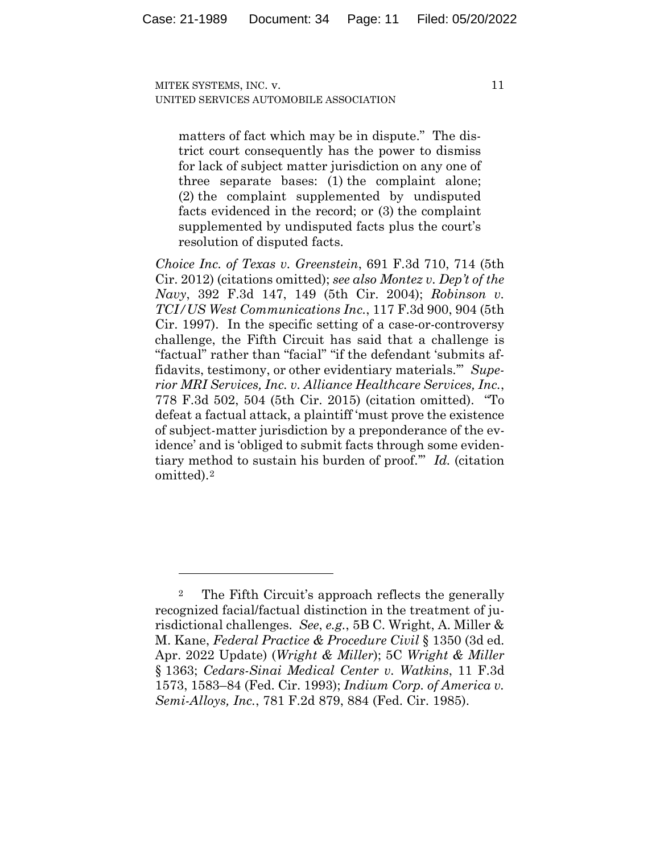matters of fact which may be in dispute." The district court consequently has the power to dismiss for lack of subject matter jurisdiction on any one of three separate bases: (1) the complaint alone; (2) the complaint supplemented by undisputed facts evidenced in the record; or (3) the complaint supplemented by undisputed facts plus the court's resolution of disputed facts.

*Choice Inc. of Texas v. Greenstein*, 691 F.3d 710, 714 (5th Cir. 2012) (citations omitted); *see also Montez v. Dep't of the Navy*, 392 F.3d 147, 149 (5th Cir. 2004); *Robinson v. TCI/US West Communications Inc.*, 117 F.3d 900, 904 (5th Cir. 1997). In the specific setting of a case-or-controversy challenge, the Fifth Circuit has said that a challenge is "factual" rather than "facial" "if the defendant 'submits affidavits, testimony, or other evidentiary materials.'" *Superior MRI Services, Inc. v. Alliance Healthcare Services, Inc.*, 778 F.3d 502, 504 (5th Cir. 2015) (citation omitted). "To defeat a factual attack, a plaintiff 'must prove the existence of subject-matter jurisdiction by a preponderance of the evidence' and is 'obliged to submit facts through some evidentiary method to sustain his burden of proof.'" *Id.* (citation omitted).2

<sup>2</sup> The Fifth Circuit's approach reflects the generally recognized facial/factual distinction in the treatment of jurisdictional challenges. *See*, *e.g.*, 5B C. Wright, A. Miller & M. Kane, *Federal Practice & Procedure Civil* § 1350 (3d ed. Apr. 2022 Update) (*Wright & Miller*); 5C *Wright & Miller* § 1363; *Cedars-Sinai Medical Center v. Watkins*, 11 F.3d 1573, 1583–84 (Fed. Cir. 1993); *Indium Corp. of America v. Semi-Alloys, Inc.*, 781 F.2d 879, 884 (Fed. Cir. 1985).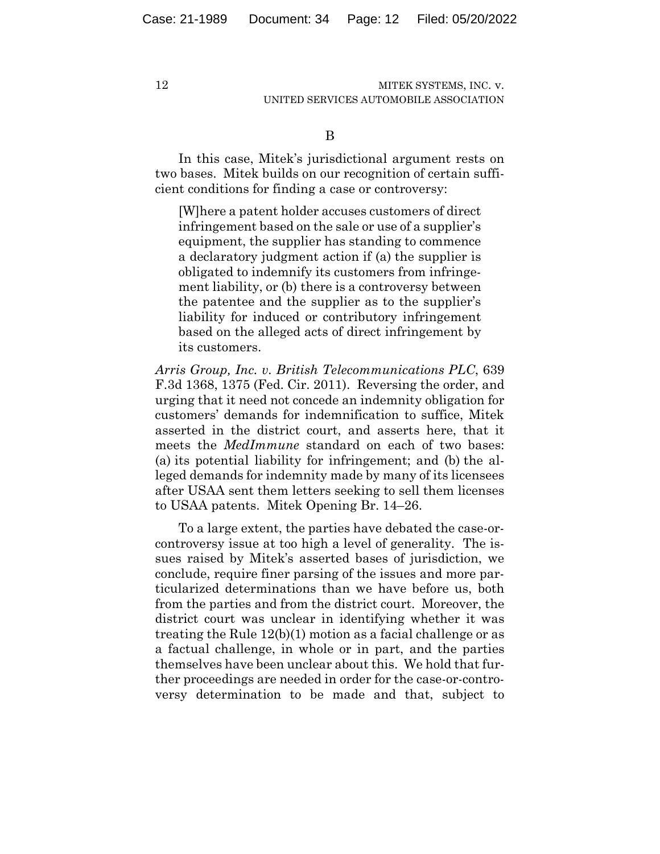B

In this case, Mitek's jurisdictional argument rests on two bases. Mitek builds on our recognition of certain sufficient conditions for finding a case or controversy:

[W]here a patent holder accuses customers of direct infringement based on the sale or use of a supplier's equipment, the supplier has standing to commence a declaratory judgment action if (a) the supplier is obligated to indemnify its customers from infringement liability, or (b) there is a controversy between the patentee and the supplier as to the supplier's liability for induced or contributory infringement based on the alleged acts of direct infringement by its customers.

*Arris Group, Inc. v. British Telecommunications PLC*, 639 F.3d 1368, 1375 (Fed. Cir. 2011). Reversing the order, and urging that it need not concede an indemnity obligation for customers' demands for indemnification to suffice, Mitek asserted in the district court, and asserts here, that it meets the *MedImmune* standard on each of two bases: (a) its potential liability for infringement; and (b) the alleged demands for indemnity made by many of its licensees after USAA sent them letters seeking to sell them licenses to USAA patents. Mitek Opening Br. 14–26.

To a large extent, the parties have debated the case-orcontroversy issue at too high a level of generality. The issues raised by Mitek's asserted bases of jurisdiction, we conclude, require finer parsing of the issues and more particularized determinations than we have before us, both from the parties and from the district court. Moreover, the district court was unclear in identifying whether it was treating the Rule 12(b)(1) motion as a facial challenge or as a factual challenge, in whole or in part, and the parties themselves have been unclear about this. We hold that further proceedings are needed in order for the case-or-controversy determination to be made and that, subject to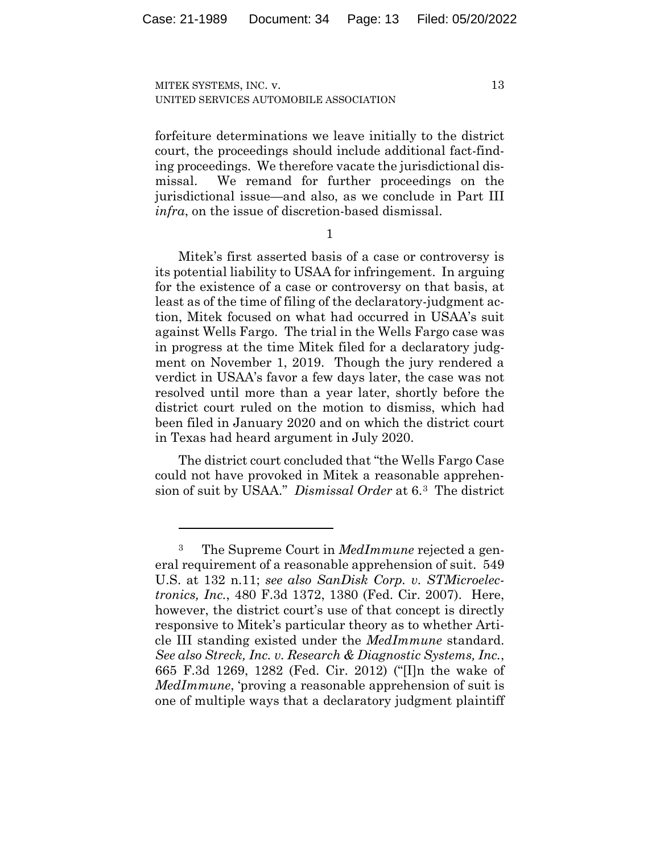forfeiture determinations we leave initially to the district court, the proceedings should include additional fact-finding proceedings. We therefore vacate the jurisdictional dismissal. We remand for further proceedings on the jurisdictional issue—and also, as we conclude in Part III *infra*, on the issue of discretion-based dismissal.

1

Mitek's first asserted basis of a case or controversy is its potential liability to USAA for infringement. In arguing for the existence of a case or controversy on that basis, at least as of the time of filing of the declaratory-judgment action, Mitek focused on what had occurred in USAA's suit against Wells Fargo. The trial in the Wells Fargo case was in progress at the time Mitek filed for a declaratory judgment on November 1, 2019. Though the jury rendered a verdict in USAA's favor a few days later, the case was not resolved until more than a year later, shortly before the district court ruled on the motion to dismiss, which had been filed in January 2020 and on which the district court in Texas had heard argument in July 2020.

The district court concluded that "the Wells Fargo Case could not have provoked in Mitek a reasonable apprehension of suit by USAA." *Dismissal Order* at 6.3 The district

<sup>3</sup> The Supreme Court in *MedImmune* rejected a general requirement of a reasonable apprehension of suit. 549 U.S. at 132 n.11; *see also SanDisk Corp. v. STMicroelectronics, Inc.*, 480 F.3d 1372, 1380 (Fed. Cir. 2007). Here, however, the district court's use of that concept is directly responsive to Mitek's particular theory as to whether Article III standing existed under the *MedImmune* standard. *See also Streck, Inc. v. Research & Diagnostic Systems, Inc.*, 665 F.3d 1269, 1282 (Fed. Cir. 2012) ("[I]n the wake of *MedImmune*, 'proving a reasonable apprehension of suit is one of multiple ways that a declaratory judgment plaintiff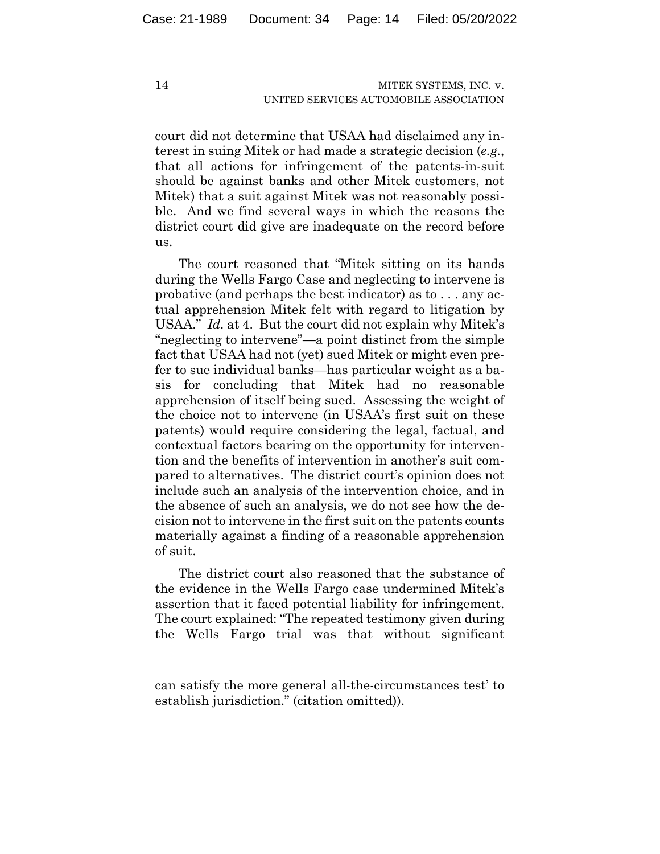court did not determine that USAA had disclaimed any interest in suing Mitek or had made a strategic decision (*e.g.*, that all actions for infringement of the patents-in-suit should be against banks and other Mitek customers, not Mitek) that a suit against Mitek was not reasonably possible. And we find several ways in which the reasons the district court did give are inadequate on the record before us.

The court reasoned that "Mitek sitting on its hands during the Wells Fargo Case and neglecting to intervene is probative (and perhaps the best indicator) as to . . . any actual apprehension Mitek felt with regard to litigation by USAA." *Id.* at 4. But the court did not explain why Mitek's "neglecting to intervene"—a point distinct from the simple fact that USAA had not (yet) sued Mitek or might even prefer to sue individual banks—has particular weight as a basis for concluding that Mitek had no reasonable apprehension of itself being sued. Assessing the weight of the choice not to intervene (in USAA's first suit on these patents) would require considering the legal, factual, and contextual factors bearing on the opportunity for intervention and the benefits of intervention in another's suit compared to alternatives. The district court's opinion does not include such an analysis of the intervention choice, and in the absence of such an analysis, we do not see how the decision not to intervene in the first suit on the patents counts materially against a finding of a reasonable apprehension of suit.

The district court also reasoned that the substance of the evidence in the Wells Fargo case undermined Mitek's assertion that it faced potential liability for infringement. The court explained: "The repeated testimony given during the Wells Fargo trial was that without significant

can satisfy the more general all-the-circumstances test' to establish jurisdiction." (citation omitted)).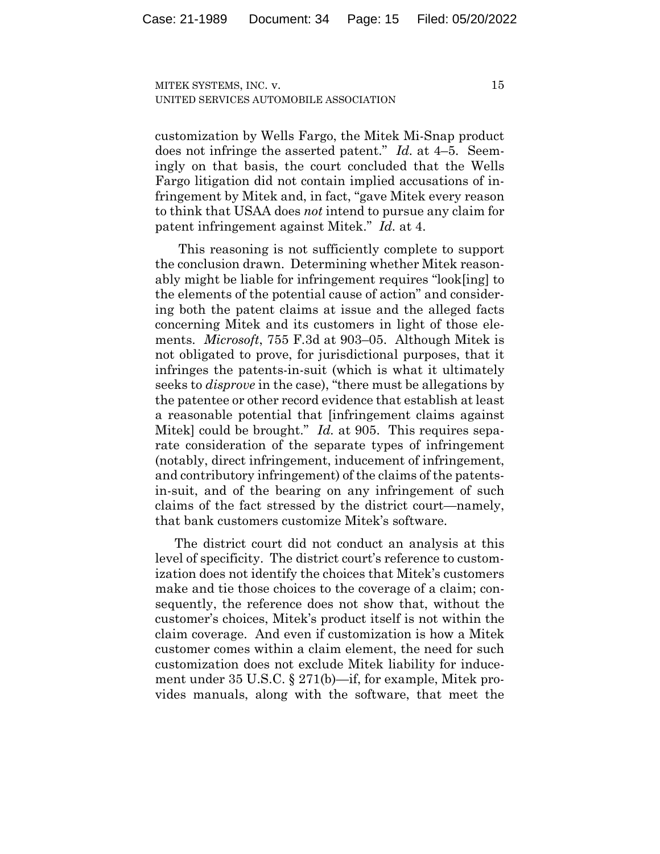customization by Wells Fargo, the Mitek Mi-Snap product does not infringe the asserted patent." *Id.* at 4–5. Seemingly on that basis, the court concluded that the Wells Fargo litigation did not contain implied accusations of infringement by Mitek and, in fact, "gave Mitek every reason to think that USAA does *not* intend to pursue any claim for patent infringement against Mitek." *Id.* at 4.

This reasoning is not sufficiently complete to support the conclusion drawn. Determining whether Mitek reasonably might be liable for infringement requires "look[ing] to the elements of the potential cause of action" and considering both the patent claims at issue and the alleged facts concerning Mitek and its customers in light of those elements. *Microsoft*, 755 F.3d at 903–05. Although Mitek is not obligated to prove, for jurisdictional purposes, that it infringes the patents-in-suit (which is what it ultimately seeks to *disprove* in the case), "there must be allegations by the patentee or other record evidence that establish at least a reasonable potential that [infringement claims against Mitek] could be brought." *Id.* at 905. This requires separate consideration of the separate types of infringement (notably, direct infringement, inducement of infringement, and contributory infringement) of the claims of the patentsin-suit, and of the bearing on any infringement of such claims of the fact stressed by the district court—namely, that bank customers customize Mitek's software.

The district court did not conduct an analysis at this level of specificity. The district court's reference to customization does not identify the choices that Mitek's customers make and tie those choices to the coverage of a claim; consequently, the reference does not show that, without the customer's choices, Mitek's product itself is not within the claim coverage. And even if customization is how a Mitek customer comes within a claim element, the need for such customization does not exclude Mitek liability for inducement under 35 U.S.C. § 271(b)—if, for example, Mitek provides manuals, along with the software, that meet the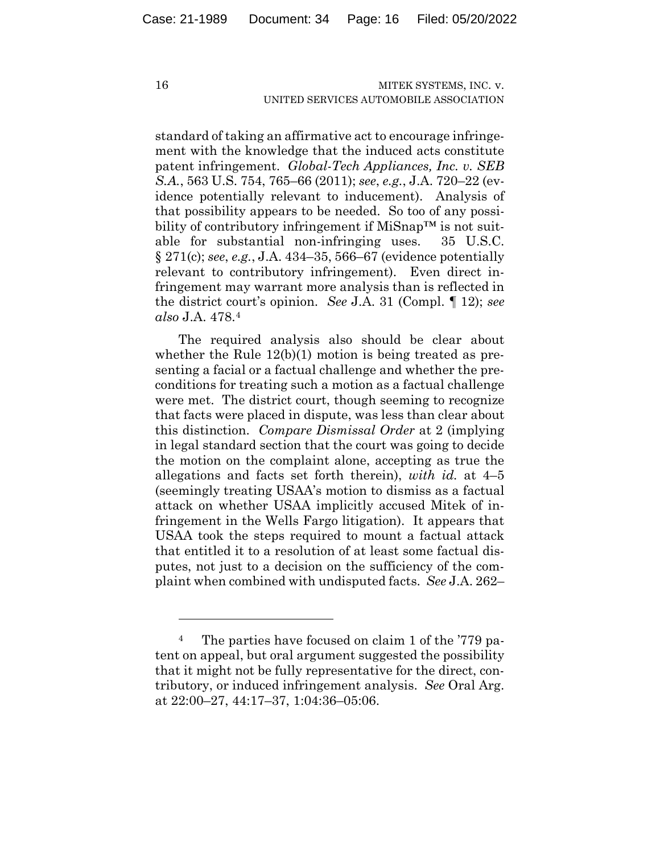standard of taking an affirmative act to encourage infringement with the knowledge that the induced acts constitute patent infringement. *Global-Tech Appliances, Inc. v. SEB S.A.*, 563 U.S. 754, 765–66 (2011); *see*, *e.g.*, J.A. 720–22 (evidence potentially relevant to inducement). Analysis of that possibility appears to be needed. So too of any possibility of contributory infringement if MiSnap™ is not suitable for substantial non-infringing uses. 35 U.S.C. § 271(c); *see*, *e.g.*, J.A. 434–35, 566–67 (evidence potentially relevant to contributory infringement). Even direct infringement may warrant more analysis than is reflected in the district court's opinion. *See* J.A. 31 (Compl. ¶ 12); *see also* J.A. 478.4

The required analysis also should be clear about whether the Rule 12(b)(1) motion is being treated as presenting a facial or a factual challenge and whether the preconditions for treating such a motion as a factual challenge were met. The district court, though seeming to recognize that facts were placed in dispute, was less than clear about this distinction. *Compare Dismissal Order* at 2 (implying in legal standard section that the court was going to decide the motion on the complaint alone, accepting as true the allegations and facts set forth therein), *with id.* at 4–5 (seemingly treating USAA's motion to dismiss as a factual attack on whether USAA implicitly accused Mitek of infringement in the Wells Fargo litigation). It appears that USAA took the steps required to mount a factual attack that entitled it to a resolution of at least some factual disputes, not just to a decision on the sufficiency of the complaint when combined with undisputed facts. *See* J.A. 262–

<sup>4</sup> The parties have focused on claim 1 of the '779 patent on appeal, but oral argument suggested the possibility that it might not be fully representative for the direct, contributory, or induced infringement analysis. *See* Oral Arg. at 22:00–27, 44:17–37, 1:04:36–05:06.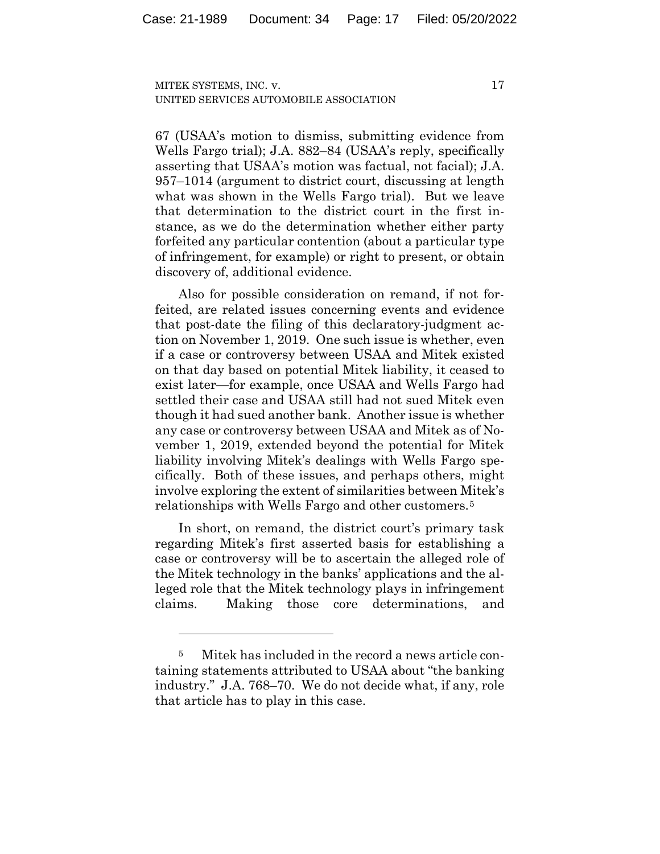67 (USAA's motion to dismiss, submitting evidence from Wells Fargo trial); J.A. 882–84 (USAA's reply, specifically asserting that USAA's motion was factual, not facial); J.A. 957–1014 (argument to district court, discussing at length what was shown in the Wells Fargo trial). But we leave that determination to the district court in the first instance, as we do the determination whether either party forfeited any particular contention (about a particular type of infringement, for example) or right to present, or obtain discovery of, additional evidence.

Also for possible consideration on remand, if not forfeited, are related issues concerning events and evidence that post-date the filing of this declaratory-judgment action on November 1, 2019. One such issue is whether, even if a case or controversy between USAA and Mitek existed on that day based on potential Mitek liability, it ceased to exist later—for example, once USAA and Wells Fargo had settled their case and USAA still had not sued Mitek even though it had sued another bank. Another issue is whether any case or controversy between USAA and Mitek as of November 1, 2019, extended beyond the potential for Mitek liability involving Mitek's dealings with Wells Fargo specifically. Both of these issues, and perhaps others, might involve exploring the extent of similarities between Mitek's relationships with Wells Fargo and other customers.5

In short, on remand, the district court's primary task regarding Mitek's first asserted basis for establishing a case or controversy will be to ascertain the alleged role of the Mitek technology in the banks' applications and the alleged role that the Mitek technology plays in infringement claims. Making those core determinations, and

<sup>5</sup> Mitek has included in the record a news article containing statements attributed to USAA about "the banking industry." J.A. 768–70. We do not decide what, if any, role that article has to play in this case.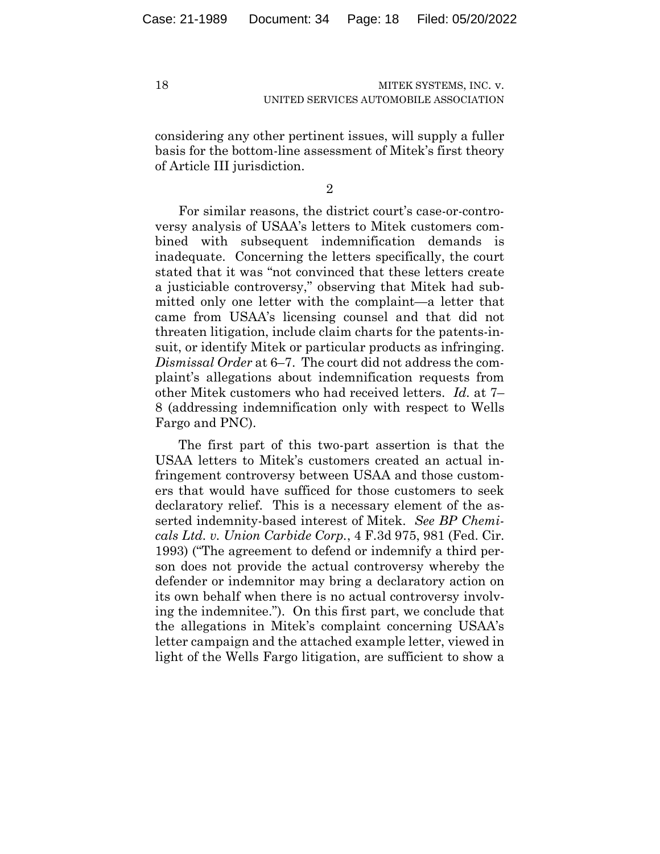considering any other pertinent issues, will supply a fuller basis for the bottom-line assessment of Mitek's first theory of Article III jurisdiction.

2

For similar reasons, the district court's case-or-controversy analysis of USAA's letters to Mitek customers combined with subsequent indemnification demands is inadequate. Concerning the letters specifically, the court stated that it was "not convinced that these letters create a justiciable controversy," observing that Mitek had submitted only one letter with the complaint—a letter that came from USAA's licensing counsel and that did not threaten litigation, include claim charts for the patents-insuit, or identify Mitek or particular products as infringing. *Dismissal Order* at 6–7. The court did not address the complaint's allegations about indemnification requests from other Mitek customers who had received letters. *Id.* at 7– 8 (addressing indemnification only with respect to Wells Fargo and PNC).

The first part of this two-part assertion is that the USAA letters to Mitek's customers created an actual infringement controversy between USAA and those customers that would have sufficed for those customers to seek declaratory relief. This is a necessary element of the asserted indemnity-based interest of Mitek. *See BP Chemicals Ltd. v. Union Carbide Corp.*, 4 F.3d 975, 981 (Fed. Cir. 1993) ("The agreement to defend or indemnify a third person does not provide the actual controversy whereby the defender or indemnitor may bring a declaratory action on its own behalf when there is no actual controversy involving the indemnitee."). On this first part, we conclude that the allegations in Mitek's complaint concerning USAA's letter campaign and the attached example letter, viewed in light of the Wells Fargo litigation, are sufficient to show a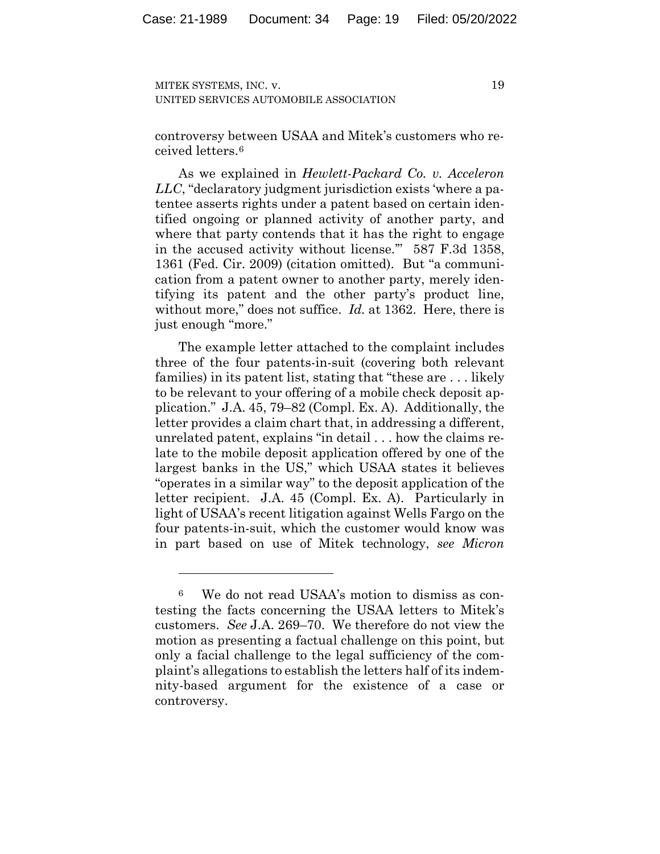19

controversy between USAA and Mitek's customers who received letters.6

As we explained in *Hewlett-Packard Co. v. Acceleron LLC*, "declaratory judgment jurisdiction exists 'where a patentee asserts rights under a patent based on certain identified ongoing or planned activity of another party, and where that party contends that it has the right to engage in the accused activity without license.'" 587 F.3d 1358, 1361 (Fed. Cir. 2009) (citation omitted). But "a communication from a patent owner to another party, merely identifying its patent and the other party's product line, without more," does not suffice. *Id.* at 1362. Here, there is just enough "more."

The example letter attached to the complaint includes three of the four patents-in-suit (covering both relevant families) in its patent list, stating that "these are . . . likely to be relevant to your offering of a mobile check deposit application." J.A. 45, 79–82 (Compl. Ex. A). Additionally, the letter provides a claim chart that, in addressing a different, unrelated patent, explains "in detail . . . how the claims relate to the mobile deposit application offered by one of the largest banks in the US," which USAA states it believes "operates in a similar way" to the deposit application of the letter recipient. J.A. 45 (Compl. Ex. A). Particularly in light of USAA's recent litigation against Wells Fargo on the four patents-in-suit, which the customer would know was in part based on use of Mitek technology, *see Micron* 

<sup>6</sup> We do not read USAA's motion to dismiss as contesting the facts concerning the USAA letters to Mitek's customers. *See* J.A. 269–70. We therefore do not view the motion as presenting a factual challenge on this point, but only a facial challenge to the legal sufficiency of the complaint's allegations to establish the letters half of its indemnity-based argument for the existence of a case or controversy.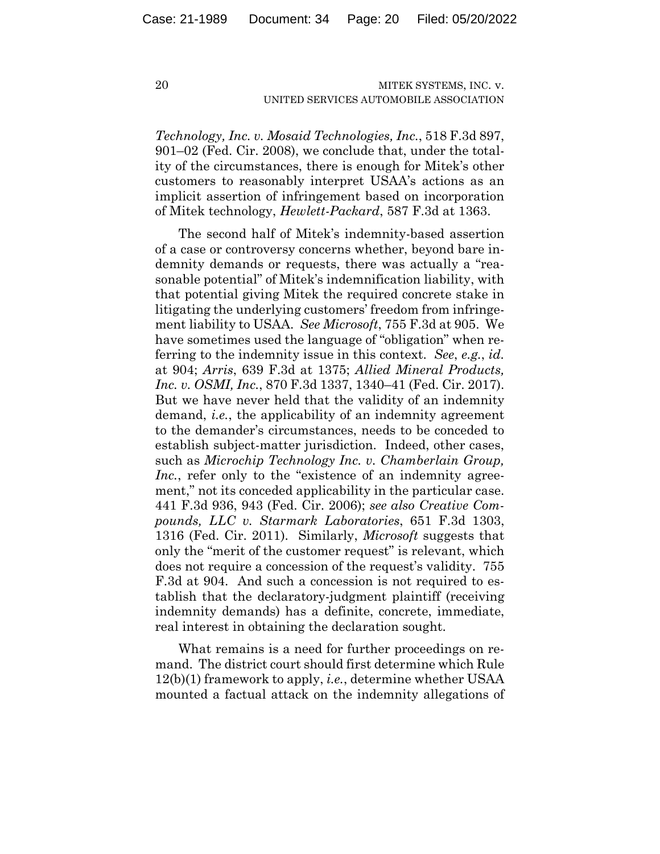*Technology, Inc. v. Mosaid Technologies, Inc.*, 518 F.3d 897, 901–02 (Fed. Cir. 2008), we conclude that, under the totality of the circumstances, there is enough for Mitek's other customers to reasonably interpret USAA's actions as an implicit assertion of infringement based on incorporation of Mitek technology, *Hewlett-Packard*, 587 F.3d at 1363.

The second half of Mitek's indemnity-based assertion of a case or controversy concerns whether, beyond bare indemnity demands or requests, there was actually a "reasonable potential" of Mitek's indemnification liability, with that potential giving Mitek the required concrete stake in litigating the underlying customers' freedom from infringement liability to USAA. *See Microsoft*, 755 F.3d at 905. We have sometimes used the language of "obligation" when referring to the indemnity issue in this context. *See*, *e.g.*, *id.*  at 904; *Arris*, 639 F.3d at 1375; *Allied Mineral Products, Inc. v. OSMI, Inc.*, 870 F.3d 1337, 1340–41 (Fed. Cir. 2017). But we have never held that the validity of an indemnity demand, *i.e.*, the applicability of an indemnity agreement to the demander's circumstances, needs to be conceded to establish subject-matter jurisdiction. Indeed, other cases, such as *Microchip Technology Inc. v. Chamberlain Group, Inc.*, refer only to the "existence of an indemnity agreement," not its conceded applicability in the particular case. 441 F.3d 936, 943 (Fed. Cir. 2006); *see also Creative Compounds, LLC v. Starmark Laboratories*, 651 F.3d 1303, 1316 (Fed. Cir. 2011). Similarly, *Microsoft* suggests that only the "merit of the customer request" is relevant, which does not require a concession of the request's validity.755 F.3d at 904. And such a concession is not required to establish that the declaratory-judgment plaintiff (receiving indemnity demands) has a definite, concrete, immediate, real interest in obtaining the declaration sought.

What remains is a need for further proceedings on remand. The district court should first determine which Rule 12(b)(1) framework to apply, *i.e.*, determine whether USAA mounted a factual attack on the indemnity allegations of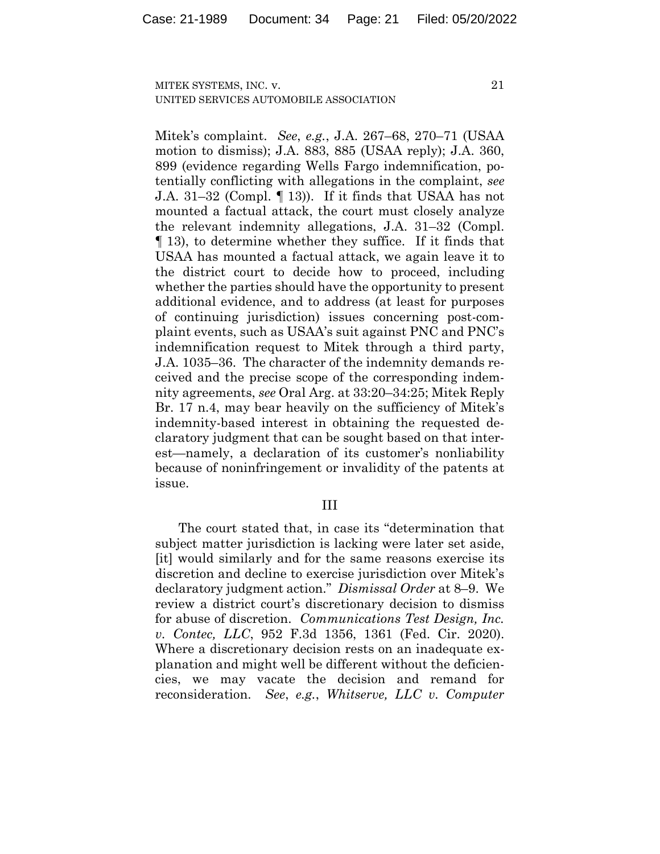Mitek's complaint. *See*, *e.g.*, J.A. 267–68, 270–71 (USAA motion to dismiss); J.A. 883, 885 (USAA reply); J.A. 360, 899 (evidence regarding Wells Fargo indemnification, potentially conflicting with allegations in the complaint, *see*  J.A. 31–32 (Compl. ¶ 13)). If it finds that USAA has not mounted a factual attack, the court must closely analyze the relevant indemnity allegations, J.A. 31–32 (Compl. ¶ 13), to determine whether they suffice. If it finds that USAA has mounted a factual attack, we again leave it to the district court to decide how to proceed, including whether the parties should have the opportunity to present additional evidence, and to address (at least for purposes of continuing jurisdiction) issues concerning post-complaint events, such as USAA's suit against PNC and PNC's indemnification request to Mitek through a third party, J.A. 1035–36. The character of the indemnity demands received and the precise scope of the corresponding indemnity agreements, *see* Oral Arg. at 33:20–34:25; Mitek Reply Br. 17 n.4, may bear heavily on the sufficiency of Mitek's indemnity-based interest in obtaining the requested declaratory judgment that can be sought based on that interest—namely, a declaration of its customer's nonliability because of noninfringement or invalidity of the patents at issue.

#### III

The court stated that, in case its "determination that subject matter jurisdiction is lacking were later set aside, [it] would similarly and for the same reasons exercise its discretion and decline to exercise jurisdiction over Mitek's declaratory judgment action." *Dismissal Order* at 8–9. We review a district court's discretionary decision to dismiss for abuse of discretion. *Communications Test Design, Inc. v. Contec, LLC*, 952 F.3d 1356, 1361 (Fed. Cir. 2020). Where a discretionary decision rests on an inadequate explanation and might well be different without the deficiencies, we may vacate the decision and remand for reconsideration. *See*, *e.g.*, *Whitserve, LLC v. Computer*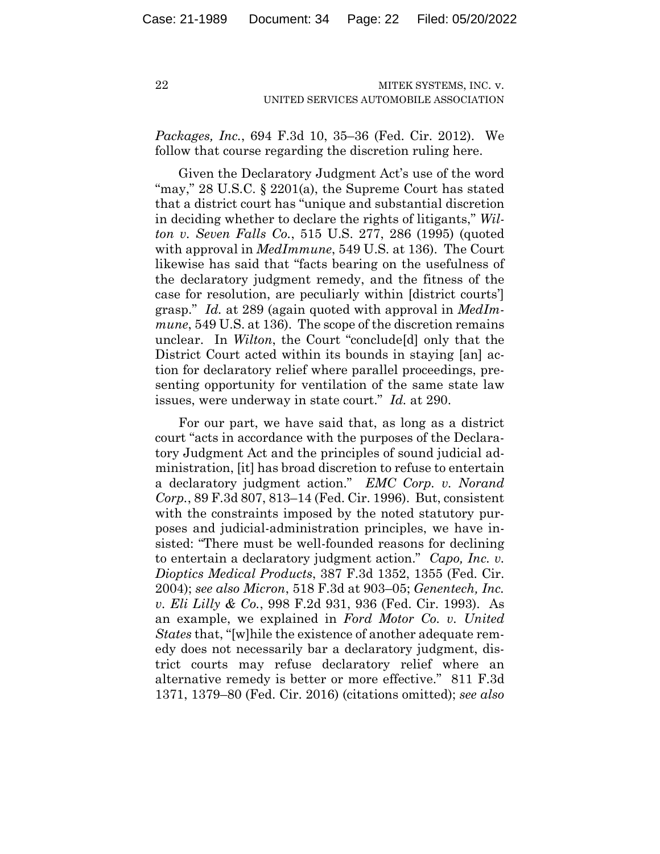*Packages, Inc.*, 694 F.3d 10, 35–36 (Fed. Cir. 2012). We follow that course regarding the discretion ruling here.

Given the Declaratory Judgment Act's use of the word "may," 28 U.S.C. § 2201(a), the Supreme Court has stated that a district court has "unique and substantial discretion in deciding whether to declare the rights of litigants," *Wilton v. Seven Falls Co.*, 515 U.S. 277, 286 (1995) (quoted with approval in *MedImmune*, 549 U.S. at 136). The Court likewise has said that "facts bearing on the usefulness of the declaratory judgment remedy, and the fitness of the case for resolution, are peculiarly within [district courts'] grasp." *Id.* at 289 (again quoted with approval in *MedImmune*, 549 U.S. at 136). The scope of the discretion remains unclear. In *Wilton*, the Court "conclude[d] only that the District Court acted within its bounds in staying [an] action for declaratory relief where parallel proceedings, presenting opportunity for ventilation of the same state law issues, were underway in state court." *Id.* at 290.

For our part, we have said that, as long as a district court "acts in accordance with the purposes of the Declaratory Judgment Act and the principles of sound judicial administration, [it] has broad discretion to refuse to entertain a declaratory judgment action." *EMC Corp. v. Norand Corp.*, 89 F.3d 807, 813–14 (Fed. Cir. 1996). But, consistent with the constraints imposed by the noted statutory purposes and judicial-administration principles, we have insisted: "There must be well-founded reasons for declining to entertain a declaratory judgment action." *Capo, Inc. v. Dioptics Medical Products*, 387 F.3d 1352, 1355 (Fed. Cir. 2004); *see also Micron*, 518 F.3d at 903–05; *Genentech, Inc. v. Eli Lilly & Co.*, 998 F.2d 931, 936 (Fed. Cir. 1993). As an example, we explained in *Ford Motor Co. v. United States* that, "[w]hile the existence of another adequate remedy does not necessarily bar a declaratory judgment, district courts may refuse declaratory relief where an alternative remedy is better or more effective." 811 F.3d 1371, 1379–80 (Fed. Cir. 2016) (citations omitted); *see also*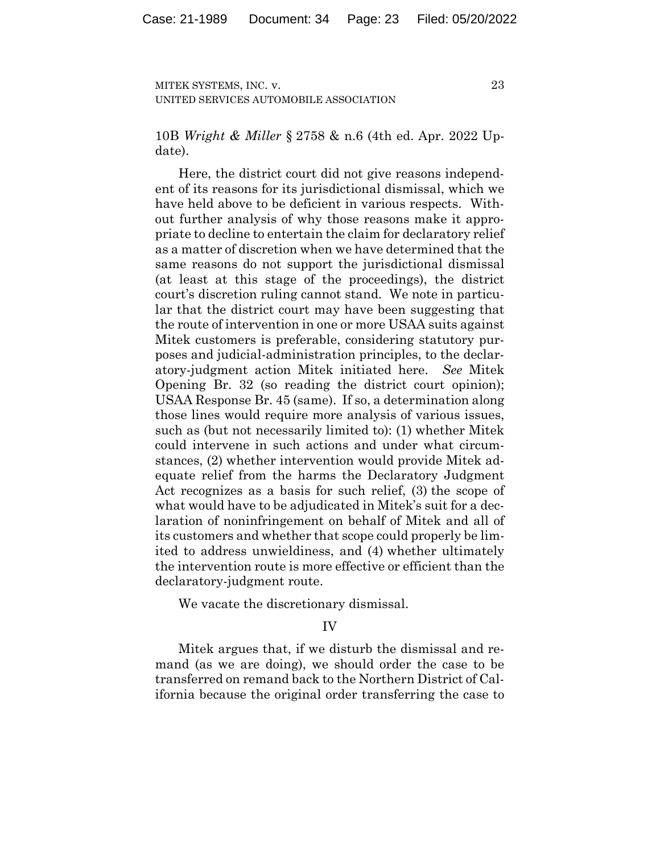23

10B *Wright & Miller* § 2758 & n.6 (4th ed. Apr. 2022 Update).

Here, the district court did not give reasons independent of its reasons for its jurisdictional dismissal, which we have held above to be deficient in various respects. Without further analysis of why those reasons make it appropriate to decline to entertain the claim for declaratory relief as a matter of discretion when we have determined that the same reasons do not support the jurisdictional dismissal (at least at this stage of the proceedings), the district court's discretion ruling cannot stand. We note in particular that the district court may have been suggesting that the route of intervention in one or more USAA suits against Mitek customers is preferable, considering statutory purposes and judicial-administration principles, to the declaratory-judgment action Mitek initiated here. *See* Mitek Opening Br. 32 (so reading the district court opinion); USAA Response Br. 45 (same). If so, a determination along those lines would require more analysis of various issues, such as (but not necessarily limited to): (1) whether Mitek could intervene in such actions and under what circumstances, (2) whether intervention would provide Mitek adequate relief from the harms the Declaratory Judgment Act recognizes as a basis for such relief, (3) the scope of what would have to be adjudicated in Mitek's suit for a declaration of noninfringement on behalf of Mitek and all of its customers and whether that scope could properly be limited to address unwieldiness, and (4) whether ultimately the intervention route is more effective or efficient than the declaratory-judgment route.

We vacate the discretionary dismissal.

#### IV

Mitek argues that, if we disturb the dismissal and remand (as we are doing), we should order the case to be transferred on remand back to the Northern District of California because the original order transferring the case to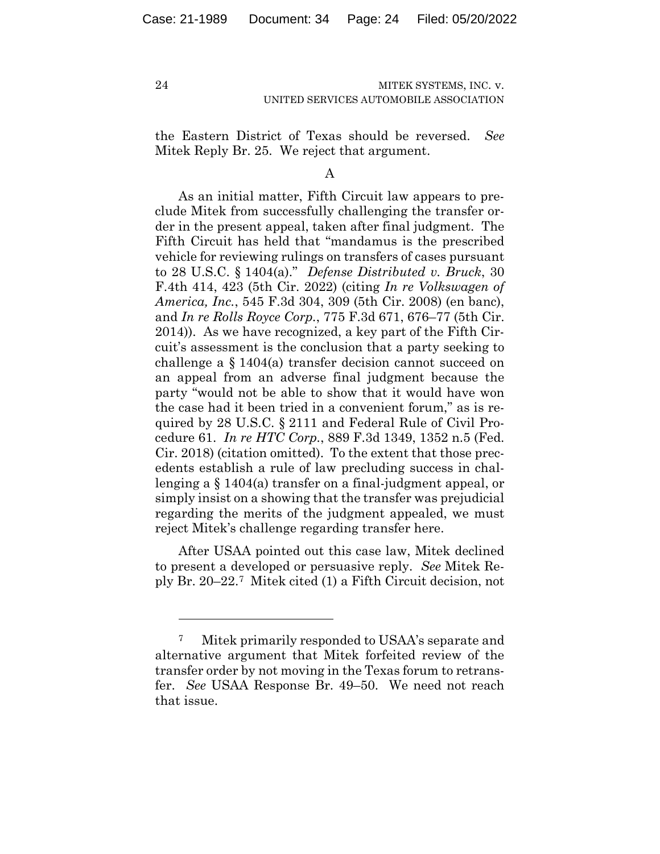24

#### MITEK SYSTEMS, INC. v. UNITED SERVICES AUTOMOBILE ASSOCIATION

the Eastern District of Texas should be reversed. *See*  Mitek Reply Br. 25.We reject that argument.

A

As an initial matter, Fifth Circuit law appears to preclude Mitek from successfully challenging the transfer order in the present appeal, taken after final judgment. The Fifth Circuit has held that "mandamus is the prescribed vehicle for reviewing rulings on transfers of cases pursuant to 28 U.S.C. § 1404(a)." *Defense Distributed v. Bruck*, 30 F.4th 414, 423 (5th Cir. 2022) (citing *In re Volkswagen of America, Inc.*, 545 F.3d 304, 309 (5th Cir. 2008) (en banc), and *In re Rolls Royce Corp.*, 775 F.3d 671, 676–77 (5th Cir. 2014)). As we have recognized, a key part of the Fifth Circuit's assessment is the conclusion that a party seeking to challenge a § 1404(a) transfer decision cannot succeed on an appeal from an adverse final judgment because the party "would not be able to show that it would have won the case had it been tried in a convenient forum," as is required by 28 U.S.C. § 2111 and Federal Rule of Civil Procedure 61. *In re HTC Corp.*, 889 F.3d 1349, 1352 n.5 (Fed. Cir. 2018) (citation omitted). To the extent that those precedents establish a rule of law precluding success in challenging a § 1404(a) transfer on a final-judgment appeal, or simply insist on a showing that the transfer was prejudicial regarding the merits of the judgment appealed, we must reject Mitek's challenge regarding transfer here.

After USAA pointed out this case law, Mitek declined to present a developed or persuasive reply. *See* Mitek Reply Br. 20–22.7 Mitek cited (1) a Fifth Circuit decision, not

<sup>7</sup> Mitek primarily responded to USAA's separate and alternative argument that Mitek forfeited review of the transfer order by not moving in the Texas forum to retransfer. *See* USAA Response Br. 49–50. We need not reach that issue.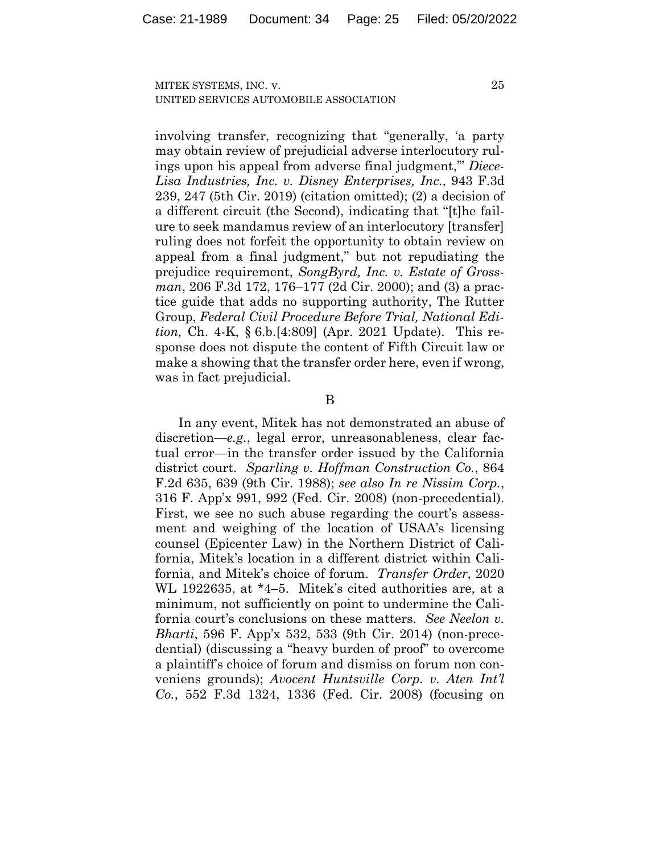involving transfer, recognizing that "generally, 'a party may obtain review of prejudicial adverse interlocutory rulings upon his appeal from adverse final judgment,'" *Diece-Lisa Industries, Inc. v. Disney Enterprises, Inc.*, 943 F.3d 239, 247 (5th Cir. 2019) (citation omitted); (2) a decision of a different circuit (the Second), indicating that "[t]he failure to seek mandamus review of an interlocutory [transfer] ruling does not forfeit the opportunity to obtain review on appeal from a final judgment," but not repudiating the prejudice requirement, *SongByrd, Inc. v. Estate of Grossman*, 206 F.3d 172, 176–177 (2d Cir. 2000); and (3) a practice guide that adds no supporting authority, The Rutter Group, *Federal Civil Procedure Before Trial, National Edition,* Ch. 4-K, § 6.b.[4:809] (Apr. 2021 Update). This response does not dispute the content of Fifth Circuit law or make a showing that the transfer order here, even if wrong, was in fact prejudicial.

#### B

In any event, Mitek has not demonstrated an abuse of discretion—*e.g.*, legal error, unreasonableness, clear factual error—in the transfer order issued by the California district court. *Sparling v. Hoffman Construction Co.*, 864 F.2d 635, 639 (9th Cir. 1988); *see also In re Nissim Corp.*, 316 F. App'x 991, 992 (Fed. Cir. 2008) (non-precedential). First, we see no such abuse regarding the court's assessment and weighing of the location of USAA's licensing counsel (Epicenter Law) in the Northern District of California, Mitek's location in a different district within California, and Mitek's choice of forum. *Transfer Order*, 2020 WL 1922635, at \*4–5. Mitek's cited authorities are, at a minimum, not sufficiently on point to undermine the California court's conclusions on these matters. *See Neelon v. Bharti*, 596 F. App'x 532, 533 (9th Cir. 2014) (non-precedential) (discussing a "heavy burden of proof" to overcome a plaintiff's choice of forum and dismiss on forum non conveniens grounds); *Avocent Huntsville Corp. v. Aten Int'l Co.*, 552 F.3d 1324, 1336 (Fed. Cir. 2008) (focusing on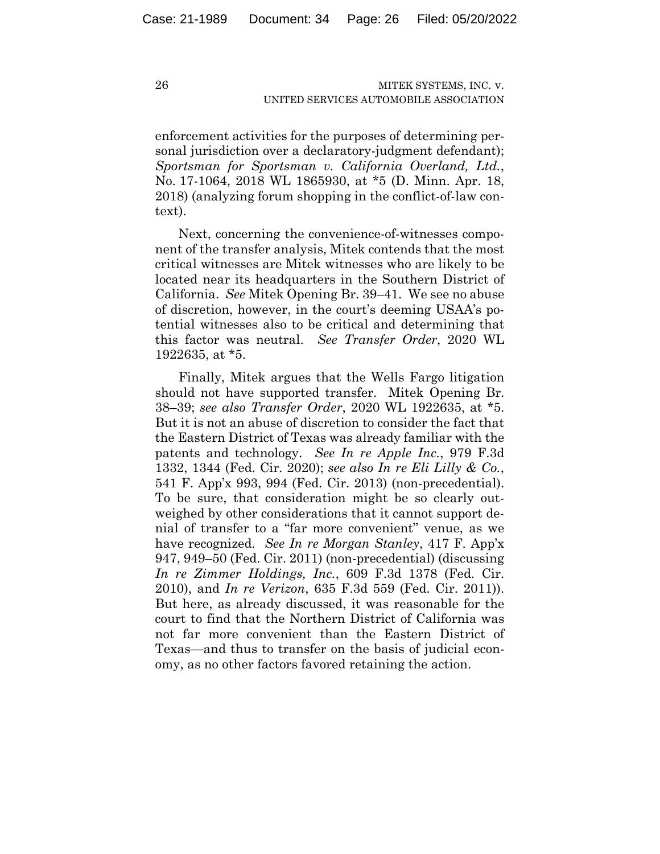enforcement activities for the purposes of determining personal jurisdiction over a declaratory-judgment defendant); *Sportsman for Sportsman v. California Overland, Ltd.*, No. 17-1064, 2018 WL 1865930, at \*5 (D. Minn. Apr. 18, 2018) (analyzing forum shopping in the conflict-of-law context).

Next, concerning the convenience-of-witnesses component of the transfer analysis, Mitek contends that the most critical witnesses are Mitek witnesses who are likely to be located near its headquarters in the Southern District of California. *See* Mitek Opening Br. 39–41.We see no abuse of discretion, however, in the court's deeming USAA's potential witnesses also to be critical and determining that this factor was neutral. *See Transfer Order*, 2020 WL 1922635, at \*5.

Finally, Mitek argues that the Wells Fargo litigation should not have supported transfer. Mitek Opening Br. 38–39; *see also Transfer Order*, 2020 WL 1922635, at \*5. But it is not an abuse of discretion to consider the fact that the Eastern District of Texas was already familiar with the patents and technology. *See In re Apple Inc.*, 979 F.3d 1332, 1344 (Fed. Cir. 2020); *see also In re Eli Lilly & Co.*, 541 F. App'x 993, 994 (Fed. Cir. 2013) (non-precedential). To be sure, that consideration might be so clearly outweighed by other considerations that it cannot support denial of transfer to a "far more convenient" venue, as we have recognized. *See In re Morgan Stanley*, 417 F. App'x 947, 949–50 (Fed. Cir. 2011) (non-precedential) (discussing *In re Zimmer Holdings, Inc.*, 609 F.3d 1378 (Fed. Cir. 2010), and *In re Verizon*, 635 F.3d 559 (Fed. Cir. 2011)). But here, as already discussed, it was reasonable for the court to find that the Northern District of California was not far more convenient than the Eastern District of Texas—and thus to transfer on the basis of judicial economy, as no other factors favored retaining the action.